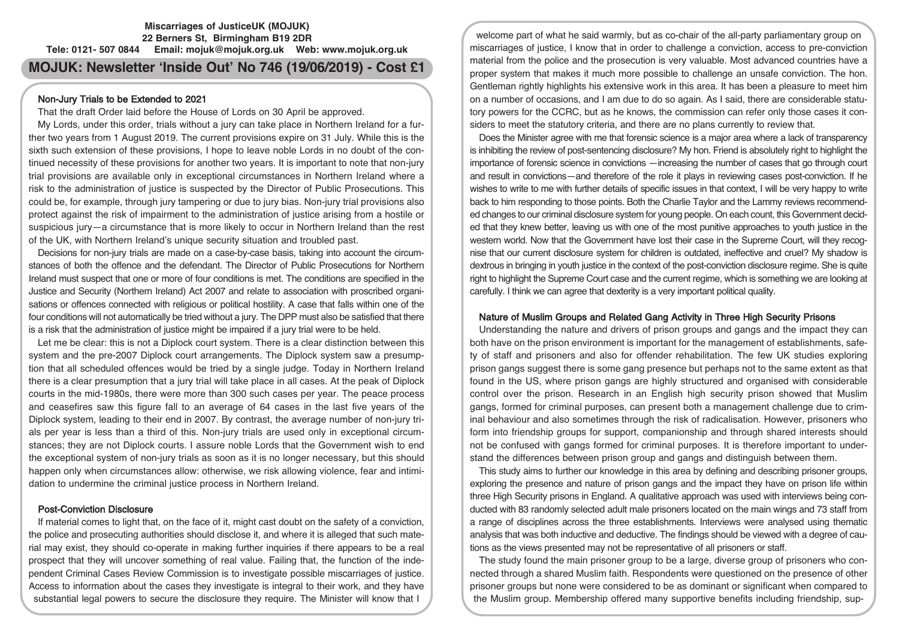## **Miscarriages of JusticeUK (MOJUK) 22 Berners St, Birmingham B19 2DR Tele: 0121- 507 0844 Email: mojuk@mojuk.org.uk Web: www.mojuk.org.uk**

# **MOJUK: Newsletter 'Inside Out' No 746 (19/06/2019) - Cost £1**

## Non-Jury Trials to be Extended to 2021

That the draft Order laid before the House of Lords on 30 April be approved.

My Lords, under this order, trials without a jury can take place in Northern Ireland for a further two years from 1 August 2019. The current provisions expire on 31 July. While this is the sixth such extension of these provisions, I hope to leave noble Lords in no doubt of the continued necessity of these provisions for another two years. It is important to note that non-jury trial provisions are available only in exceptional circumstances in Northern Ireland where a risk to the administration of justice is suspected by the Director of Public Prosecutions. This could be, for example, through jury tampering or due to jury bias. Non-jury trial provisions also protect against the risk of impairment to the administration of justice arising from a hostile or suspicious jury—a circumstance that is more likely to occur in Northern Ireland than the rest of the UK, with Northern Ireland's unique security situation and troubled past.

Decisions for non-jury trials are made on a case-by-case basis, taking into account the circumstances of both the offence and the defendant. The Director of Public Prosecutions for Northern Ireland must suspect that one or more of four conditions is met. The conditions are specified in the Justice and Security (Northern Ireland) Act 2007 and relate to association with proscribed organisations or offences connected with religious or political hostility. A case that falls within one of the four conditions will not automatically be tried without a jury. The DPP must also be satisfied that there is a risk that the administration of justice might be impaired if a jury trial were to be held.

Let me be clear: this is not a Diplock court system. There is a clear distinction between this system and the pre-2007 Diplock court arrangements. The Diplock system saw a presumption that all scheduled offences would be tried by a single judge. Today in Northern Ireland there is a clear presumption that a jury trial will take place in all cases. At the peak of Diplock courts in the mid-1980s, there were more than 300 such cases per year. The peace process and ceasefires saw this figure fall to an average of 64 cases in the last five years of the Diplock system, leading to their end in 2007. By contrast, the average number of non-jury trials per year is less than a third of this. Non-jury trials are used only in exceptional circumstances; they are not Diplock courts. I assure noble Lords that the Government wish to end the exceptional system of non-jury trials as soon as it is no longer necessary, but this should happen only when circumstances allow: otherwise, we risk allowing violence, fear and intimidation to undermine the criminal justice process in Northern Ireland.

#### Post-Conviction Disclosure

If material comes to light that, on the face of it, might cast doubt on the safety of a conviction, the police and prosecuting authorities should disclose it, and where it is alleged that such material may exist, they should co-operate in making further inquiries if there appears to be a real prospect that they will uncover something of real value. Failing that, the function of the independent Criminal Cases Review Commission is to investigate possible miscarriages of justice. Access to information about the cases they investigate is integral to their work, and they have substantial legal powers to secure the disclosure they require. The Minister will know that I

welcome part of what he said warmly, but as co-chair of the all-party parliamentary group on miscarriages of justice, I know that in order to challenge a conviction, access to pre-conviction material from the police and the prosecution is very valuable. Most advanced countries have a proper system that makes it much more possible to challenge an unsafe conviction. The hon. Gentleman rightly highlights his extensive work in this area. It has been a pleasure to meet him on a number of occasions, and I am due to do so again. As I said, there are considerable statutory powers for the CCRC, but as he knows, the commission can refer only those cases it considers to meet the statutory criteria, and there are no plans currently to review that.

Does the Minister agree with me that forensic science is a major area where a lack of transparency is inhibiting the review of post-sentencing disclosure? My hon. Friend is absolutely right to highlight the importance of forensic science in convictions —increasing the number of cases that go through court and result in convictions—and therefore of the role it plays in reviewing cases post-conviction. If he wishes to write to me with further details of specific issues in that context, I will be very happy to write back to him responding to those points. Both the Charlie Taylor and the Lammy reviews recommended changes to our criminal disclosure system for young people. On each count, this Government decided that they knew better, leaving us with one of the most punitive approaches to youth justice in the western world. Now that the Government have lost their case in the Supreme Court, will they recognise that our current disclosure system for children is outdated, ineffective and cruel? My shadow is dextrous in bringing in youth justice in the context of the post-conviction disclosure regime. She is quite right to highlight the Supreme Court case and the current regime, which is something we are looking at carefully. I think we can agree that dexterity is a very important political quality.

#### Nature of Muslim Groups and Related Gang Activity in Three High Security Prisons

Understanding the nature and drivers of prison groups and gangs and the impact they can both have on the prison environment is important for the management of establishments, safety of staff and prisoners and also for offender rehabilitation. The few UK studies exploring prison gangs suggest there is some gang presence but perhaps not to the same extent as that found in the US, where prison gangs are highly structured and organised with considerable control over the prison. Research in an English high security prison showed that Muslim gangs, formed for criminal purposes, can present both a management challenge due to criminal behaviour and also sometimes through the risk of radicalisation. However, prisoners who form into friendship groups for support, companionship and through shared interests should not be confused with gangs formed for criminal purposes. It is therefore important to understand the differences between prison group and gangs and distinguish between them.

This study aims to further our knowledge in this area by defining and describing prisoner groups, exploring the presence and nature of prison gangs and the impact they have on prison life within three High Security prisons in England. A qualitative approach was used with interviews being conducted with 83 randomly selected adult male prisoners located on the main wings and 73 staff from a range of disciplines across the three establishments. Interviews were analysed using thematic analysis that was both inductive and deductive. The findings should be viewed with a degree of cautions as the views presented may not be representative of all prisoners or staff.

The study found the main prisoner group to be a large, diverse group of prisoners who connected through a shared Muslim faith. Respondents were questioned on the presence of other prisoner groups but none were considered to be as dominant or significant when compared to the Muslim group. Membership offered many supportive benefits including friendship, sup-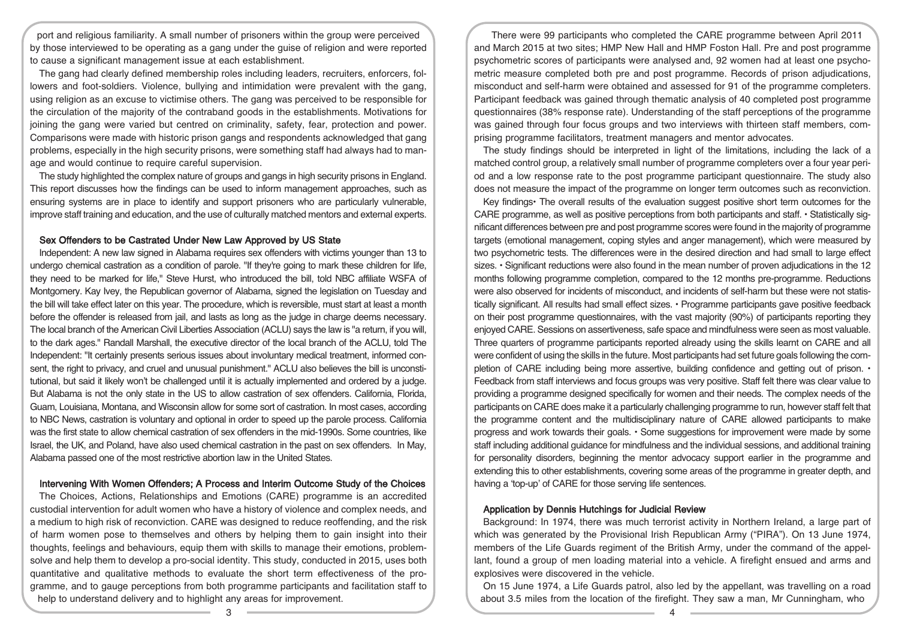port and religious familiarity. A small number of prisoners within the group were perceived by those interviewed to be operating as a gang under the guise of religion and were reported to cause a significant management issue at each establishment.

The gang had clearly defined membership roles including leaders, recruiters, enforcers, followers and foot-soldiers. Violence, bullying and intimidation were prevalent with the gang, using religion as an excuse to victimise others. The gang was perceived to be responsible for the circulation of the majority of the contraband goods in the establishments. Motivations for joining the gang were varied but centred on criminality, safety, fear, protection and power. Comparisons were made with historic prison gangs and respondents acknowledged that gang problems, especially in the high security prisons, were something staff had always had to manage and would continue to require careful supervision.

The study highlighted the complex nature of groups and gangs in high security prisons in England. This report discusses how the findings can be used to inform management approaches, such as ensuring systems are in place to identify and support prisoners who are particularly vulnerable, improve staff training and education, and the use of culturally matched mentors and external experts.

#### Sex Offenders to be Castrated Under New Law Approved by US State

Independent: A new law signed in Alabama requires sex offenders with victims younger than 13 to undergo chemical castration as a condition of parole. "If they're going to mark these children for life, they need to be marked for life," Steve Hurst, who introduced the bill, told NBC affiliate WSFA of Montgomery. Kay Ivey, the Republican governor of Alabama, signed the legislation on Tuesday and the bill will take effect later on this year. The procedure, which is reversible, must start at least a month before the offender is released from jail, and lasts as long as the judge in charge deems necessary. The local branch of the American Civil Liberties Association (ACLU) says the law is "a return, if you will, to the dark ages." Randall Marshall, the executive director of the local branch of the ACLU, told The Independent: "It certainly presents serious issues about involuntary medical treatment, informed consent, the right to privacy, and cruel and unusual punishment." ACLU also believes the bill is unconstitutional, but said it likely won't be challenged until it is actually implemented and ordered by a judge. But Alabama is not the only state in the US to allow castration of sex offenders. California, Florida, Guam, Louisiana, Montana, and Wisconsin allow for some sort of castration. In most cases, according to NBC News, castration is voluntary and optional in order to speed up the parole process. California was the first state to allow chemical castration of sex offenders in the mid-1990s. Some countries, like Israel, the UK, and Poland, have also used chemical castration in the past on sex offenders. In May, Alabama passed one of the most restrictive abortion law in the United States.

#### Intervening With Women Offenders; A Process and Interim Outcome Study of the Choices

The Choices, Actions, Relationships and Emotions (CARE) programme is an accredited custodial intervention for adult women who have a history of violence and complex needs, and a medium to high risk of reconviction. CARE was designed to reduce reoffending, and the risk of harm women pose to themselves and others by helping them to gain insight into their thoughts, feelings and behaviours, equip them with skills to manage their emotions, problemsolve and help them to develop a pro-social identity. This study, conducted in 2015, uses both quantitative and qualitative methods to evaluate the short term effectiveness of the programme, and to gauge perceptions from both programme participants and facilitation staff to help to understand delivery and to highlight any areas for improvement.

There were 99 participants who completed the CARE programme between April 2011 and March 2015 at two sites; HMP New Hall and HMP Foston Hall. Pre and post programme psychometric scores of participants were analysed and, 92 women had at least one psychometric measure completed both pre and post programme. Records of prison adjudications, misconduct and self-harm were obtained and assessed for 91 of the programme completers. Participant feedback was gained through thematic analysis of 40 completed post programme questionnaires (38% response rate). Understanding of the staff perceptions of the programme was gained through four focus groups and two interviews with thirteen staff members, comprising programme facilitators, treatment managers and mentor advocates.

The study findings should be interpreted in light of the limitations, including the lack of a matched control group, a relatively small number of programme completers over a four year period and a low response rate to the post programme participant questionnaire. The study also does not measure the impact of the programme on longer term outcomes such as reconviction.

Key findings• The overall results of the evaluation suggest positive short term outcomes for the CARE programme, as well as positive perceptions from both participants and staff. • Statistically significant differences between pre and post programme scores were found in the majority of programme targets (emotional management, coping styles and anger management), which were measured by two psychometric tests. The differences were in the desired direction and had small to large effect sizes. • Significant reductions were also found in the mean number of proven adjudications in the 12 months following programme completion, compared to the 12 months pre-programme. Reductions were also observed for incidents of misconduct, and incidents of self-harm but these were not statistically significant. All results had small effect sizes. • Programme participants gave positive feedback on their post programme questionnaires, with the vast majority (90%) of participants reporting they enjoyed CARE. Sessions on assertiveness, safe space and mindfulness were seen as most valuable. Three quarters of programme participants reported already using the skills learnt on CARE and all were confident of using the skills in the future. Most participants had set future goals following the completion of CARE including being more assertive, building confidence and getting out of prison. • Feedback from staff interviews and focus groups was very positive. Staff felt there was clear value to providing a programme designed specifically for women and their needs. The complex needs of the participants on CARE does make it a particularly challenging programme to run, however staff felt that the programme content and the multidisciplinary nature of CARE allowed participants to make progress and work towards their goals. • Some suggestions for improvement were made by some staff including additional guidance for mindfulness and the individual sessions, and additional training for personality disorders, beginning the mentor advocacy support earlier in the programme and extending this to other establishments, covering some areas of the programme in greater depth, and having a 'top-up' of CARE for those serving life sentences.

#### Application by Dennis Hutchings for Judicial Review

Background: In 1974, there was much terrorist activity in Northern Ireland, a large part of which was generated by the Provisional Irish Republican Army ("PIRA"). On 13 June 1974, members of the Life Guards regiment of the British Army, under the command of the appellant, found a group of men loading material into a vehicle. A firefight ensued and arms and explosives were discovered in the vehicle.

On 15 June 1974, a Life Guards patrol, also led by the appellant, was travelling on a road about 3.5 miles from the location of the firefight. They saw a man, Mr Cunningham, who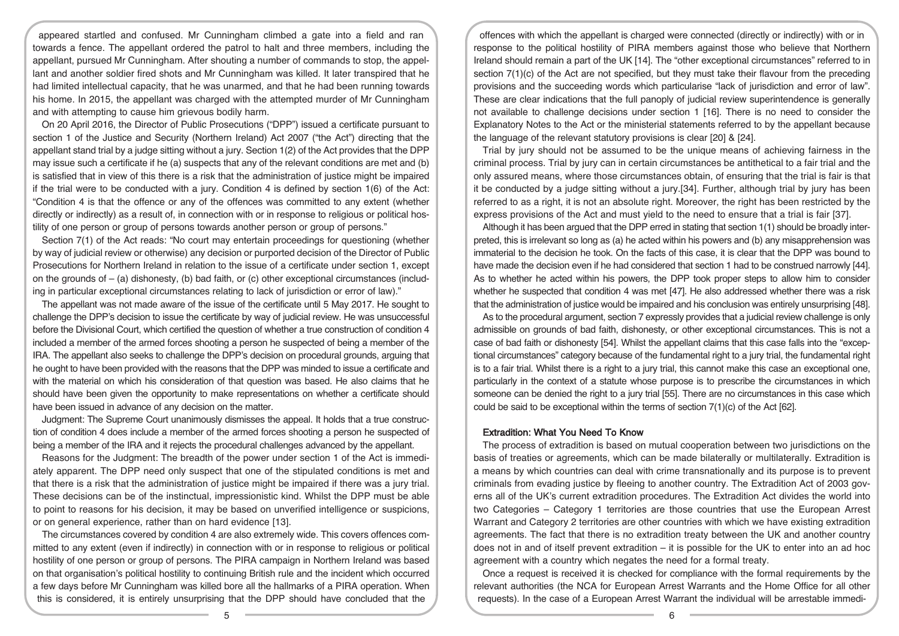appeared startled and confused. Mr Cunningham climbed a gate into a field and ran towards a fence. The appellant ordered the patrol to halt and three members, including the appellant, pursued Mr Cunningham. After shouting a number of commands to stop, the appellant and another soldier fired shots and Mr Cunningham was killed. It later transpired that he had limited intellectual capacity, that he was unarmed, and that he had been running towards his home. In 2015, the appellant was charged with the attempted murder of Mr Cunningham and with attempting to cause him grievous bodily harm.

On 20 April 2016, the Director of Public Prosecutions ("DPP") issued a certificate pursuant to section 1 of the Justice and Security (Northern Ireland) Act 2007 ("the Act") directing that the appellant stand trial by a judge sitting without a jury. Section 1(2) of the Act provides that the DPP may issue such a certificate if he (a) suspects that any of the relevant conditions are met and (b) is satisfied that in view of this there is a risk that the administration of justice might be impaired if the trial were to be conducted with a jury. Condition 4 is defined by section 1(6) of the Act: "Condition 4 is that the offence or any of the offences was committed to any extent (whether directly or indirectly) as a result of, in connection with or in response to religious or political hostility of one person or group of persons towards another person or group of persons."

Section 7(1) of the Act reads: "No court may entertain proceedings for questioning (whether by way of judicial review or otherwise) any decision or purported decision of the Director of Public Prosecutions for Northern Ireland in relation to the issue of a certificate under section 1, except on the grounds of  $-$  (a) dishonesty, (b) bad faith, or (c) other exceptional circumstances (including in particular exceptional circumstances relating to lack of jurisdiction or error of law)."

The appellant was not made aware of the issue of the certificate until 5 May 2017. He sought to challenge the DPP's decision to issue the certificate by way of judicial review. He was unsuccessful before the Divisional Court, which certified the question of whether a true construction of condition 4 included a member of the armed forces shooting a person he suspected of being a member of the IRA. The appellant also seeks to challenge the DPP's decision on procedural grounds, arguing that he ought to have been provided with the reasons that the DPP was minded to issue a certificate and with the material on which his consideration of that question was based. He also claims that he should have been given the opportunity to make representations on whether a certificate should have been issued in advance of any decision on the matter.

Judgment: The Supreme Court unanimously dismisses the appeal. It holds that a true construction of condition 4 does include a member of the armed forces shooting a person he suspected of being a member of the IRA and it rejects the procedural challenges advanced by the appellant.

Reasons for the Judgment: The breadth of the power under section 1 of the Act is immediately apparent. The DPP need only suspect that one of the stipulated conditions is met and that there is a risk that the administration of justice might be impaired if there was a jury trial. These decisions can be of the instinctual, impressionistic kind. Whilst the DPP must be able to point to reasons for his decision, it may be based on unverified intelligence or suspicions, or on general experience, rather than on hard evidence [13].

The circumstances covered by condition 4 are also extremely wide. This covers offences committed to any extent (even if indirectly) in connection with or in response to religious or political hostility of one person or group of persons. The PIRA campaign in Northern Ireland was based on that organisation's political hostility to continuing British rule and the incident which occurred a few days before Mr Cunningham was killed bore all the hallmarks of a PIRA operation. When this is considered, it is entirely unsurprising that the DPP should have concluded that the

offences with which the appellant is charged were connected (directly or indirectly) with or in response to the political hostility of PIRA members against those who believe that Northern Ireland should remain a part of the UK [14]. The "other exceptional circumstances" referred to in section  $7(1)(c)$  of the Act are not specified, but they must take their flavour from the preceding provisions and the succeeding words which particularise "lack of jurisdiction and error of law". These are clear indications that the full panoply of judicial review superintendence is generally not available to challenge decisions under section 1 [16]. There is no need to consider the Explanatory Notes to the Act or the ministerial statements referred to by the appellant because the language of the relevant statutory provisions is clear [20] & [24].

Trial by jury should not be assumed to be the unique means of achieving fairness in the criminal process. Trial by jury can in certain circumstances be antithetical to a fair trial and the only assured means, where those circumstances obtain, of ensuring that the trial is fair is that it be conducted by a judge sitting without a jury.[34]. Further, although trial by jury has been referred to as a right, it is not an absolute right. Moreover, the right has been restricted by the express provisions of the Act and must yield to the need to ensure that a trial is fair [37].

Although it has been argued that the DPP erred in stating that section 1(1) should be broadly interpreted, this is irrelevant so long as (a) he acted within his powers and (b) any misapprehension was immaterial to the decision he took. On the facts of this case, it is clear that the DPP was bound to have made the decision even if he had considered that section 1 had to be construed narrowly [44]. As to whether he acted within his powers, the DPP took proper steps to allow him to consider whether he suspected that condition 4 was met [47]. He also addressed whether there was a risk that the administration of justice would be impaired and his conclusion was entirely unsurprising [48].

As to the procedural argument, section 7 expressly provides that a judicial review challenge is only admissible on grounds of bad faith, dishonesty, or other exceptional circumstances. This is not a case of bad faith or dishonesty [54]. Whilst the appellant claims that this case falls into the "exceptional circumstances" category because of the fundamental right to a jury trial, the fundamental right is to a fair trial. Whilst there is a right to a jury trial, this cannot make this case an exceptional one, particularly in the context of a statute whose purpose is to prescribe the circumstances in which someone can be denied the right to a jury trial [55]. There are no circumstances in this case which could be said to be exceptional within the terms of section 7(1)(c) of the Act [62].

## Extradition: What You Need To Know

The process of extradition is based on mutual cooperation between two jurisdictions on the basis of treaties or agreements, which can be made bilaterally or multilaterally. Extradition is a means by which countries can deal with crime transnationally and its purpose is to prevent criminals from evading justice by fleeing to another country. The Extradition Act of 2003 governs all of the UK's current extradition procedures. The Extradition Act divides the world into two Categories – Category 1 territories are those countries that use the European Arrest Warrant and Category 2 territories are other countries with which we have existing extradition agreements. The fact that there is no extradition treaty between the UK and another country does not in and of itself prevent extradition – it is possible for the UK to enter into an ad hoc agreement with a country which negates the need for a formal treaty.

Once a request is received it is checked for compliance with the formal requirements by the relevant authorities (the NCA for European Arrest Warrants and the Home Office for all other requests). In the case of a European Arrest Warrant the individual will be arrestable immedi-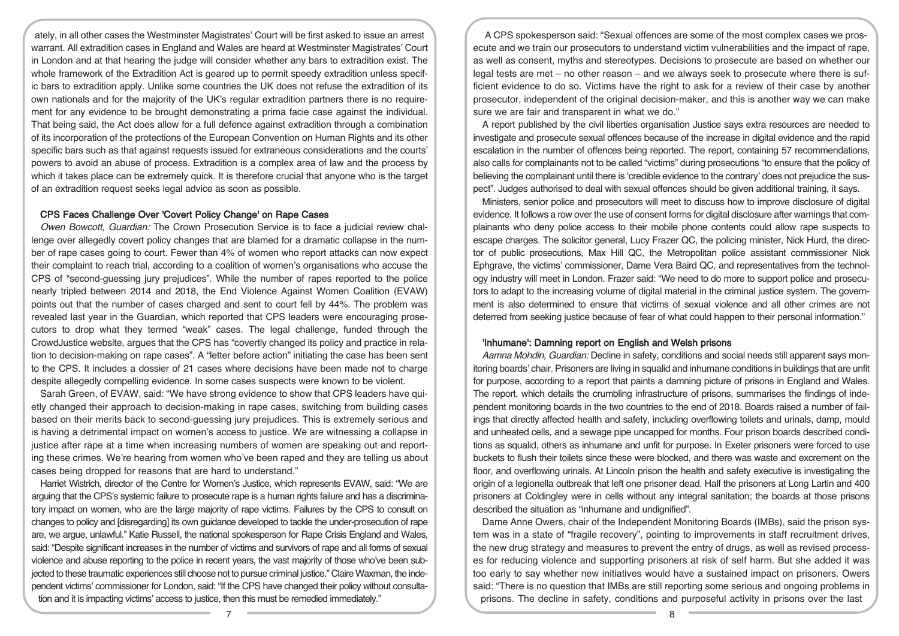ately, in all other cases the Westminster Magistrates' Court will be first asked to issue an arrest warrant. All extradition cases in England and Wales are heard at Westminster Magistrates' Court in London and at that hearing the judge will consider whether any bars to extradition exist. The whole framework of the Extradition Act is geared up to permit speedy extradition unless specific bars to extradition apply. Unlike some countries the UK does not refuse the extradition of its own nationals and for the majority of the UK's regular extradition partners there is no requirement for any evidence to be brought demonstrating a prima facie case against the individual. That being said, the Act does allow for a full defence against extradition through a combination of its incorporation of the protections of the European Convention on Human Rights and its other specific bars such as that against requests issued for extraneous considerations and the courts' powers to avoid an abuse of process. Extradition is a complex area of law and the process by which it takes place can be extremely quick. It is therefore crucial that anyone who is the target of an extradition request seeks legal advice as soon as possible.

#### CPS Faces Challenge Over 'Covert Policy Change' on Rape Cases

Owen Bowcott, Guardian: The Crown Prosecution Service is to face a judicial review challenge over allegedly covert policy changes that are blamed for a dramatic collapse in the number of rape cases going to court. Fewer than 4% of women who report attacks can now expect their complaint to reach trial, according to a coalition of women's organisations who accuse the CPS of "second-guessing jury prejudices". While the number of rapes reported to the police nearly tripled between 2014 and 2018, the End Violence Against Women Coalition (EVAW) points out that the number of cases charged and sent to court fell by 44%. The problem was revealed last year in the Guardian, which reported that CPS leaders were encouraging prosecutors to drop what they termed "weak" cases. The legal challenge, funded through the CrowdJustice website, argues that the CPS has "covertly changed its policy and practice in relation to decision-making on rape cases". A "letter before action" initiating the case has been sent to the CPS. It includes a dossier of 21 cases where decisions have been made not to charge despite allegedly compelling evidence. In some cases suspects were known to be violent.

Sarah Green, of EVAW, said: "We have strong evidence to show that CPS leaders have quietly changed their approach to decision-making in rape cases, switching from building cases based on their merits back to second-guessing jury prejudices. This is extremely serious and is having a detrimental impact on women's access to justice. We are witnessing a collapse in justice after rape at a time when increasing numbers of women are speaking out and reporting these crimes. We're hearing from women who've been raped and they are telling us about cases being dropped for reasons that are hard to understand."

Harriet Wistrich, director of the Centre for Women's Justice, which represents EVAW, said: "We are arguing that the CPS's systemic failure to prosecute rape is a human rights failure and has a discriminatory impact on women, who are the large majority of rape victims. Failures by the CPS to consult on changes to policy and [disregarding] its own guidance developed to tackle the under-prosecution of rape are, we argue, unlawful." Katie Russell, the national spokesperson for Rape Crisis England and Wales, said: "Despite significant increases in the number of victims and survivors of rape and all forms of sexual violence and abuse reporting to the police in recent years, the vast majority of those who've been subjected to these traumatic experiences still choose not to pursue criminal justice." Claire Waxman, the independent victims' commissioner for London, said: "If the CPS have changed their policy without consultation and it is impacting victims' access to justice, then this must be remedied immediately."

A CPS spokesperson said: "Sexual offences are some of the most complex cases we prosecute and we train our prosecutors to understand victim vulnerabilities and the impact of rape, as well as consent, myths and stereotypes. Decisions to prosecute are based on whether our legal tests are met – no other reason – and we always seek to prosecute where there is sufficient evidence to do so. Victims have the right to ask for a review of their case by another prosecutor, independent of the original decision-maker, and this is another way we can make sure we are fair and transparent in what we do."

A report published by the civil liberties organisation Justice says extra resources are needed to investigate and prosecute sexual offences because of the increase in digital evidence and the rapid escalation in the number of offences being reported. The report, containing 57 recommendations, also calls for complainants not to be called "victims" during prosecutions "to ensure that the policy of believing the complainant until there is 'credible evidence to the contrary' does not prejudice the suspect". Judges authorised to deal with sexual offences should be given additional training, it says.

Ministers, senior police and prosecutors will meet to discuss how to improve disclosure of digital evidence. It follows a row over the use of consent forms for digital disclosure after warnings that complainants who deny police access to their mobile phone contents could allow rape suspects to escape charges. The solicitor general, Lucy Frazer QC, the policing minister, Nick Hurd, the director of public prosecutions, Max Hill QC, the Metropolitan police assistant commissioner Nick Ephgrave, the victims' commissioner, Dame Vera Baird QC, and representatives from the technology industry will meet in London. Frazer said: "We need to do more to support police and prosecutors to adapt to the increasing volume of digital material in the criminal justice system. The government is also determined to ensure that victims of sexual violence and all other crimes are not deterred from seeking justice because of fear of what could happen to their personal information."

## 'Inhumane': Damning report on English and Welsh prisons

Aamna Mohdin, Guardian: Decline in safety, conditions and social needs still apparent says monitoring boards' chair. Prisoners are living in squalid and inhumane conditions in buildings that are unfit for purpose, according to a report that paints a damning picture of prisons in England and Wales. The report, which details the crumbling infrastructure of prisons, summarises the findings of independent monitoring boards in the two countries to the end of 2018. Boards raised a number of failings that directly affected health and safety, including overflowing toilets and urinals, damp, mould and unheated cells, and a sewage pipe uncapped for months. Four prison boards described conditions as squalid, others as inhumane and unfit for purpose. In Exeter prisoners were forced to use buckets to flush their toilets since these were blocked, and there was waste and excrement on the floor, and overflowing urinals. At Lincoln prison the health and safety executive is investigating the origin of a legionella outbreak that left one prisoner dead. Half the prisoners at Long Lartin and 400 prisoners at Coldingley were in cells without any integral sanitation; the boards at those prisons described the situation as "inhumane and undignified".

Dame Anne Owers, chair of the Independent Monitoring Boards (IMBs), said the prison system was in a state of "fragile recovery", pointing to improvements in staff recruitment drives, the new drug strategy and measures to prevent the entry of drugs, as well as revised processes for reducing violence and supporting prisoners at risk of self harm. But she added it was too early to say whether new initiatives would have a sustained impact on prisoners. Owers said: "There is no question that IMBs are still reporting some serious and ongoing problems in prisons. The decline in safety, conditions and purposeful activity in prisons over the last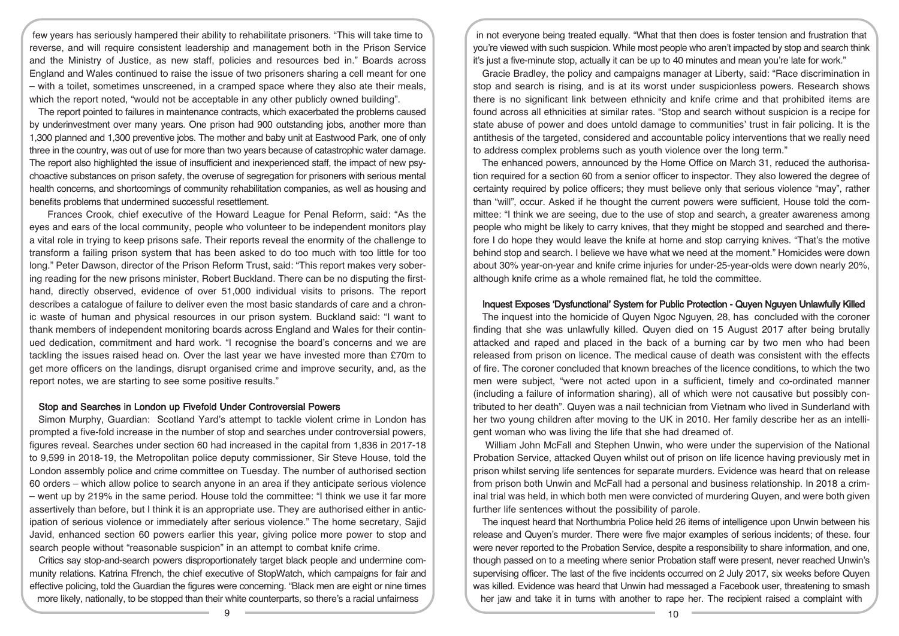few years has seriously hampered their ability to rehabilitate prisoners. "This will take time to reverse, and will require consistent leadership and management both in the Prison Service and the Ministry of Justice, as new staff, policies and resources bed in." Boards across England and Wales continued to raise the issue of two prisoners sharing a cell meant for one – with a toilet, sometimes unscreened, in a cramped space where they also ate their meals, which the report noted, "would not be acceptable in any other publicly owned building".

The report pointed to failures in maintenance contracts, which exacerbated the problems caused by underinvestment over many years. One prison had 900 outstanding jobs, another more than 1,300 planned and 1,300 preventive jobs. The mother and baby unit at Eastwood Park, one of only three in the country, was out of use for more than two years because of catastrophic water damage. The report also highlighted the issue of insufficient and inexperienced staff, the impact of new psychoactive substances on prison safety, the overuse of segregation for prisoners with serious mental health concerns, and shortcomings of community rehabilitation companies, as well as housing and benefits problems that undermined successful resettlement.

Frances Crook, chief executive of the Howard League for Penal Reform, said: "As the eyes and ears of the local community, people who volunteer to be independent monitors play a vital role in trying to keep prisons safe. Their reports reveal the enormity of the challenge to transform a failing prison system that has been asked to do too much with too little for too long." Peter Dawson, director of the Prison Reform Trust, said: "This report makes very sobering reading for the new prisons minister, Robert Buckland. There can be no disputing the firsthand, directly observed, evidence of over 51,000 individual visits to prisons. The report describes a catalogue of failure to deliver even the most basic standards of care and a chronic waste of human and physical resources in our prison system. Buckland said: "I want to thank members of independent monitoring boards across England and Wales for their continued dedication, commitment and hard work. "I recognise the board's concerns and we are tackling the issues raised head on. Over the last year we have invested more than £70m to get more officers on the landings, disrupt organised crime and improve security, and, as the report notes, we are starting to see some positive results."

## Stop and Searches in London up Fivefold Under Controversial Powers

Simon Murphy, Guardian: Scotland Yard's attempt to tackle violent crime in London has prompted a five-fold increase in the number of stop and searches under controversial powers, figures reveal. Searches under section 60 had increased in the capital from 1,836 in 2017-18 to 9,599 in 2018-19, the Metropolitan police deputy commissioner, Sir Steve House, told the London assembly police and crime committee on Tuesday. The number of authorised section 60 orders – which allow police to search anyone in an area if they anticipate serious violence – went up by 219% in the same period. House told the committee: "I think we use it far more assertively than before, but I think it is an appropriate use. They are authorised either in anticipation of serious violence or immediately after serious violence." The home secretary, Sajid Javid, enhanced section 60 powers earlier this year, giving police more power to stop and search people without "reasonable suspicion" in an attempt to combat knife crime.

Critics say stop-and-search powers disproportionately target black people and undermine community relations. Katrina Ffrench, the chief executive of StopWatch, which campaigns for fair and effective policing, told the Guardian the figures were concerning. "Black men are eight or nine times more likely, nationally, to be stopped than their white counterparts, so there's a racial unfairness

in not everyone being treated equally. "What that then does is foster tension and frustration that you're viewed with such suspicion. While most people who aren't impacted by stop and search think it's just a five-minute stop, actually it can be up to 40 minutes and mean you're late for work."

Gracie Bradley, the policy and campaigns manager at Liberty, said: "Race discrimination in stop and search is rising, and is at its worst under suspicionless powers. Research shows there is no significant link between ethnicity and knife crime and that prohibited items are found across all ethnicities at similar rates. "Stop and search without suspicion is a recipe for state abuse of power and does untold damage to communities' trust in fair policing. It is the antithesis of the targeted, considered and accountable policy interventions that we really need to address complex problems such as youth violence over the long term."

The enhanced powers, announced by the Home Office on March 31, reduced the authorisation required for a section 60 from a senior officer to inspector. They also lowered the degree of certainty required by police officers; they must believe only that serious violence "may", rather than "will", occur. Asked if he thought the current powers were sufficient, House told the committee: "I think we are seeing, due to the use of stop and search, a greater awareness among people who might be likely to carry knives, that they might be stopped and searched and therefore I do hope they would leave the knife at home and stop carrying knives. "That's the motive behind stop and search. I believe we have what we need at the moment." Homicides were down about 30% year-on-year and knife crime injuries for under-25-year-olds were down nearly 20%, although knife crime as a whole remained flat, he told the committee.

#### Inquest Exposes 'Dysfunctional' System for Public Protection - Quyen Nguyen Unlawfully Killed

The inquest into the homicide of Quyen Ngoc Nguyen, 28, has concluded with the coroner finding that she was unlawfully killed. Quyen died on 15 August 2017 after being brutally attacked and raped and placed in the back of a burning car by two men who had been released from prison on licence. The medical cause of death was consistent with the effects of fire. The coroner concluded that known breaches of the licence conditions, to which the two men were subject, "were not acted upon in a sufficient, timely and co-ordinated manner (including a failure of information sharing), all of which were not causative but possibly contributed to her death". Quyen was a nail technician from Vietnam who lived in Sunderland with her two young children after moving to the UK in 2010. Her family describe her as an intelligent woman who was living the life that she had dreamed of.

William John McFall and Stephen Unwin, who were under the supervision of the National Probation Service, attacked Quyen whilst out of prison on life licence having previously met in prison whilst serving life sentences for separate murders. Evidence was heard that on release from prison both Unwin and McFall had a personal and business relationship. In 2018 a criminal trial was held, in which both men were convicted of murdering Quyen, and were both given further life sentences without the possibility of parole.

The inquest heard that Northumbria Police held 26 items of intelligence upon Unwin between his release and Quyen's murder. There were five major examples of serious incidents; of these. four were never reported to the Probation Service, despite a responsibility to share information, and one, though passed on to a meeting where senior Probation staff were present, never reached Unwin's supervising officer. The last of the five incidents occurred on 2 July 2017, six weeks before Quyen was killed. Evidence was heard that Unwin had messaged a Facebook user, threatening to smash her jaw and take it in turns with another to rape her. The recipient raised a complaint with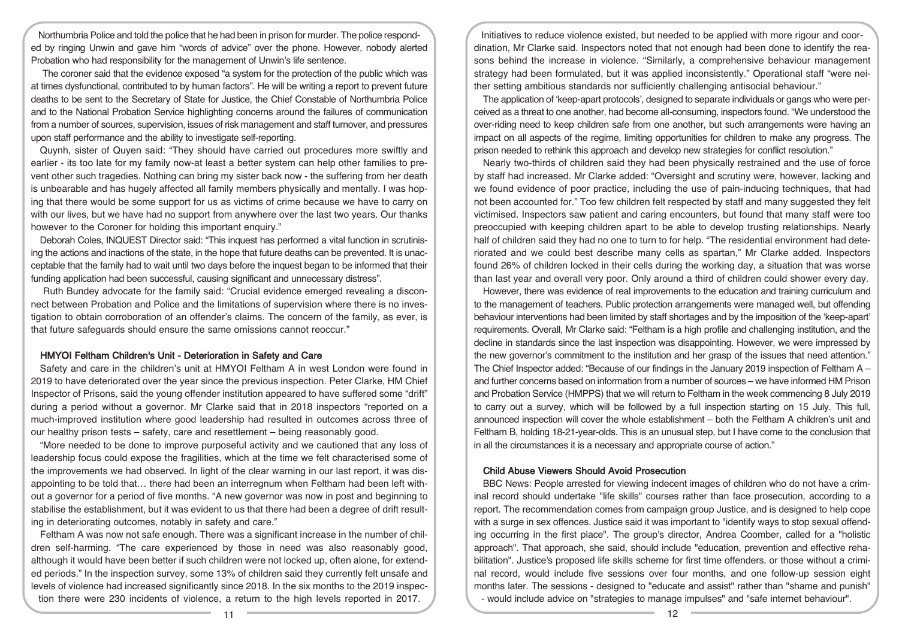Northumbria Police and told the police that he had been in prison for murder. The police responded by ringing Unwin and gave him "words of advice" over the phone. However, nobody alerted Probation who had responsibility for the management of Unwin's life sentence.

The coroner said that the evidence exposed "a system for the protection of the public which was at times dysfunctional, contributed to by human factors". He will be writing a report to prevent future deaths to be sent to the Secretary of State for Justice, the Chief Constable of Northumbria Police and to the National Probation Service highlighting concerns around the failures of communication from a number of sources, supervision, issues of risk management and staff turnover, and pressures upon staff performance and the ability to investigate self-reporting.

Quynh, sister of Quyen said: "They should have carried out procedures more swiftly and earlier - its too late for my family now-at least a better system can help other families to prevent other such tragedies. Nothing can bring my sister back now - the suffering from her death is unbearable and has hugely affected all family members physically and mentally. I was hoping that there would be some support for us as victims of crime because we have to carry on with our lives, but we have had no support from anywhere over the last two years. Our thanks however to the Coroner for holding this important enquiry."

Deborah Coles, INQUEST Director said: "This inquest has performed a vital function in scrutinising the actions and inactions of the state, in the hope that future deaths can be prevented. It is unacceptable that the family had to wait until two days before the inquest began to be informed that their funding application had been successful, causing significant and unnecessary distress".

Ruth Bundey advocate for the family said: "Crucial evidence emerged revealing a disconnect between Probation and Police and the limitations of supervision where there is no investigation to obtain corroboration of an offender's claims. The concern of the family, as ever, is that future safeguards should ensure the same omissions cannot reoccur."

#### HMYOI Feltham Children's Unit - Deterioration in Safety and Care

Safety and care in the children's unit at HMYOI Feltham A in west London were found in 2019 to have deteriorated over the year since the previous inspection. Peter Clarke, HM Chief Inspector of Prisons, said the young offender institution appeared to have suffered some "drift" during a period without a governor. Mr Clarke said that in 2018 inspectors "reported on a much-improved institution where good leadership had resulted in outcomes across three of our healthy prison tests – safety, care and resettlement – being reasonably good.

"More needed to be done to improve purposeful activity and we cautioned that any loss of leadership focus could expose the fragilities, which at the time we felt characterised some of the improvements we had observed. In light of the clear warning in our last report, it was disappointing to be told that… there had been an interregnum when Feltham had been left without a governor for a period of five months. "A new governor was now in post and beginning to stabilise the establishment, but it was evident to us that there had been a degree of drift resulting in deteriorating outcomes, notably in safety and care."

Feltham A was now not safe enough. There was a significant increase in the number of children self-harming. "The care experienced by those in need was also reasonably good, although it would have been better if such children were not locked up, often alone, for extended periods." In the inspection survey, some 13% of children said they currently felt unsafe and levels of violence had increased significantly since 2018. In the six months to the 2019 inspection there were 230 incidents of violence, a return to the high levels reported in 2017.

Initiatives to reduce violence existed, but needed to be applied with more rigour and coordination, Mr Clarke said. Inspectors noted that not enough had been done to identify the reasons behind the increase in violence. "Similarly, a comprehensive behaviour management strategy had been formulated, but it was applied inconsistently." Operational staff "were neither setting ambitious standards nor sufficiently challenging antisocial behaviour."

The application of 'keep-apart protocols', designed to separate individuals or gangs who were perceived as a threat to one another, had become all-consuming, inspectors found. "We understood the over-riding need to keep children safe from one another, but such arrangements were having an impact on all aspects of the regime, limiting opportunities for children to make any progress. The prison needed to rethink this approach and develop new strategies for conflict resolution."

Nearly two-thirds of children said they had been physically restrained and the use of force by staff had increased. Mr Clarke added: "Oversight and scrutiny were, however, lacking and we found evidence of poor practice, including the use of pain-inducing techniques, that had not been accounted for." Too few children felt respected by staff and many suggested they felt victimised. Inspectors saw patient and caring encounters, but found that many staff were too preoccupied with keeping children apart to be able to develop trusting relationships. Nearly half of children said they had no one to turn to for help. "The residential environment had deteriorated and we could best describe many cells as spartan," Mr Clarke added. Inspectors found 26% of children locked in their cells during the working day, a situation that was worse than last year and overall very poor. Only around a third of children could shower every day.

However, there was evidence of real improvements to the education and training curriculum and to the management of teachers. Public protection arrangements were managed well, but offending behaviour interventions had been limited by staff shortages and by the imposition of the 'keep-apart' requirements. Overall, Mr Clarke said: "Feltham is a high profile and challenging institution, and the decline in standards since the last inspection was disappointing. However, we were impressed by the new governor's commitment to the institution and her grasp of the issues that need attention." The Chief Inspector added: "Because of our findings in the January 2019 inspection of Feltham A – and further concerns based on information from a number of sources – we have informed HM Prison and Probation Service (HMPPS) that we will return to Feltham in the week commencing 8 July 2019 to carry out a survey, which will be followed by a full inspection starting on 15 July. This full, announced inspection will cover the whole establishment – both the Feltham A children's unit and Feltham B, holding 18-21-year-olds. This is an unusual step, but I have come to the conclusion that in all the circumstances it is a necessary and appropriate course of action."

## Child Abuse Viewers Should Avoid Prosecution

BBC News: People arrested for viewing indecent images of children who do not have a criminal record should undertake "life skills" courses rather than face prosecution, according to a report. The recommendation comes from campaign group Justice, and is designed to help cope with a surge in sex offences. Justice said it was important to "identify ways to stop sexual offending occurring in the first place". The group's director, Andrea Coomber, called for a "holistic approach". That approach, she said, should include "education, prevention and effective rehabilitation". Justice's proposed life skills scheme for first time offenders, or those without a criminal record, would include five sessions over four months, and one follow-up session eight months later. The sessions - designed to "educate and assist" rather than "shame and punish" - would include advice on "strategies to manage impulses" and "safe internet behaviour".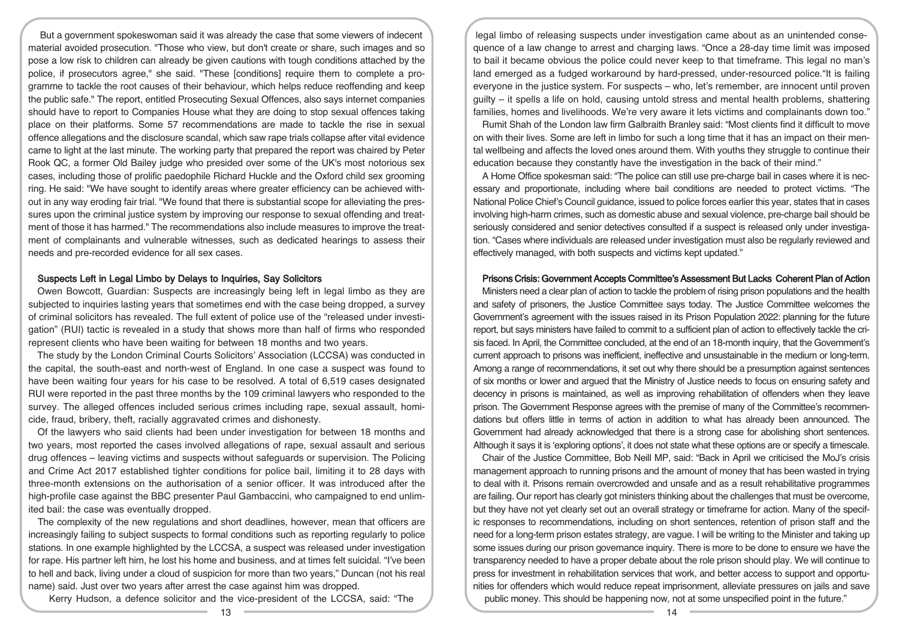But a government spokeswoman said it was already the case that some viewers of indecent material avoided prosecution. "Those who view, but don't create or share, such images and so pose a low risk to children can already be given cautions with tough conditions attached by the police, if prosecutors agree," she said. "These [conditions] require them to complete a programme to tackle the root causes of their behaviour, which helps reduce reoffending and keep the public safe." The report, entitled Prosecuting Sexual Offences, also says internet companies should have to report to Companies House what they are doing to stop sexual offences taking place on their platforms. Some 57 recommendations are made to tackle the rise in sexual offence allegations and the disclosure scandal, which saw rape trials collapse after vital evidence came to light at the last minute. The working party that prepared the report was chaired by Peter Rook QC, a former Old Bailey judge who presided over some of the UK's most notorious sex cases, including those of prolific paedophile Richard Huckle and the Oxford child sex grooming ring. He said: "We have sought to identify areas where greater efficiency can be achieved without in any way eroding fair trial. "We found that there is substantial scope for alleviating the pressures upon the criminal justice system by improving our response to sexual offending and treatment of those it has harmed." The recommendations also include measures to improve the treatment of complainants and vulnerable witnesses, such as dedicated hearings to assess their needs and pre-recorded evidence for all sex cases.

#### Suspects Left in Legal Limbo by Delays to Inquiries, Say Solicitors

Owen Bowcott, Guardian: Suspects are increasingly being left in legal limbo as they are subjected to inquiries lasting years that sometimes end with the case being dropped, a survey of criminal solicitors has revealed. The full extent of police use of the "released under investigation" (RUI) tactic is revealed in a study that shows more than half of firms who responded represent clients who have been waiting for between 18 months and two years.

The study by the London Criminal Courts Solicitors' Association (LCCSA) was conducted in the capital, the south-east and north-west of England. In one case a suspect was found to have been waiting four years for his case to be resolved. A total of 6,519 cases designated RUI were reported in the past three months by the 109 criminal lawyers who responded to the survey. The alleged offences included serious crimes including rape, sexual assault, homicide, fraud, bribery, theft, racially aggravated crimes and dishonesty.

Of the lawyers who said clients had been under investigation for between 18 months and two years, most reported the cases involved allegations of rape, sexual assault and serious drug offences – leaving victims and suspects without safeguards or supervision. The Policing and Crime Act 2017 established tighter conditions for police bail, limiting it to 28 days with three-month extensions on the authorisation of a senior officer. It was introduced after the high-profile case against the BBC presenter Paul Gambaccini, who campaigned to end unlimited bail: the case was eventually dropped.

The complexity of the new regulations and short deadlines, however, mean that officers are increasingly failing to subject suspects to formal conditions such as reporting regularly to police stations. In one example highlighted by the LCCSA, a suspect was released under investigation for rape. His partner left him, he lost his home and business, and at times felt suicidal. "I've been to hell and back, living under a cloud of suspicion for more than two years," Duncan (not his real name) said. Just over two years after arrest the case against him was dropped.

Kerry Hudson, a defence solicitor and the vice-president of the LCCSA, said: "The

legal limbo of releasing suspects under investigation came about as an unintended consequence of a law change to arrest and charging laws. "Once a 28-day time limit was imposed to bail it became obvious the police could never keep to that timeframe. This legal no man's land emerged as a fudged workaround by hard-pressed, under-resourced police."It is failing everyone in the justice system. For suspects – who, let's remember, are innocent until proven guilty – it spells a life on hold, causing untold stress and mental health problems, shattering families, homes and livelihoods. We're very aware it lets victims and complainants down too."

Rumit Shah of the London law firm Galbraith Branley said: "Most clients find it difficult to move on with their lives. Some are left in limbo for such a long time that it has an impact on their mental wellbeing and affects the loved ones around them. With youths they struggle to continue their education because they constantly have the investigation in the back of their mind."

A Home Office spokesman said: "The police can still use pre-charge bail in cases where it is necessary and proportionate, including where bail conditions are needed to protect victims. "The National Police Chief's Council guidance, issued to police forces earlier this year, states that in cases involving high-harm crimes, such as domestic abuse and sexual violence, pre-charge bail should be seriously considered and senior detectives consulted if a suspect is released only under investigation. "Cases where individuals are released under investigation must also be regularly reviewed and effectively managed, with both suspects and victims kept updated."

## Prisons Crisis: Government Accepts Committee's Assessment But Lacks Coherent Plan of Action

Ministers need a clear plan of action to tackle the problem of rising prison populations and the health and safety of prisoners, the Justice Committee says today. The Justice Committee welcomes the Government's agreement with the issues raised in its Prison Population 2022: planning for the future report, but says ministers have failed to commit to a sufficient plan of action to effectively tackle the crisis faced. In April, the Committee concluded, at the end of an 18-month inquiry, that the Government's current approach to prisons was inefficient, ineffective and unsustainable in the medium or long-term. Among a range of recommendations, it set out why there should be a presumption against sentences of six months or lower and argued that the Ministry of Justice needs to focus on ensuring safety and decency in prisons is maintained, as well as improving rehabilitation of offenders when they leave prison. The Government Response agrees with the premise of many of the Committee's recommendations but offers little in terms of action in addition to what has already been announced. The Government had already acknowledged that there is a strong case for abolishing short sentences. Although it says it is 'exploring options', it does not state what these options are or specify a timescale.

Chair of the Justice Committee, Bob Neill MP, said: "Back in April we criticised the MoJ's crisis management approach to running prisons and the amount of money that has been wasted in trying to deal with it. Prisons remain overcrowded and unsafe and as a result rehabilitative programmes are failing. Our report has clearly got ministers thinking about the challenges that must be overcome, but they have not yet clearly set out an overall strategy or timeframe for action. Many of the specific responses to recommendations, including on short sentences, retention of prison staff and the need for a long-term prison estates strategy, are vague. I will be writing to the Minister and taking up some issues during our prison governance inquiry. There is more to be done to ensure we have the transparency needed to have a proper debate about the role prison should play. We will continue to press for investment in rehabilitation services that work, and better access to support and opportunities for offenders which would reduce repeat imprisonment, alleviate pressures on jails and save public money. This should be happening now, not at some unspecified point in the future."